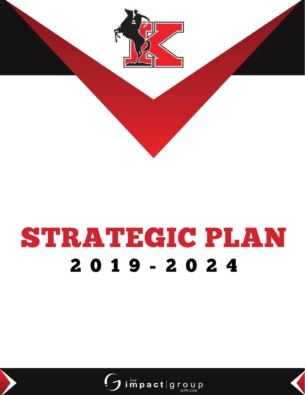

# **STRATEGIC PLAN**  $2019 - 2024$

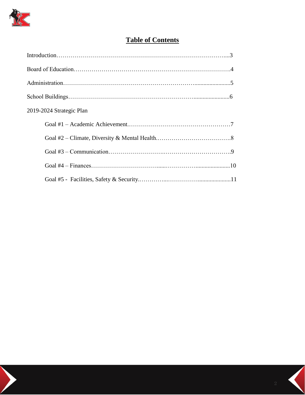

# **Table of Contents**

| 2019-2024 Strategic Plan |  |
|--------------------------|--|
|                          |  |
|                          |  |
|                          |  |
|                          |  |
|                          |  |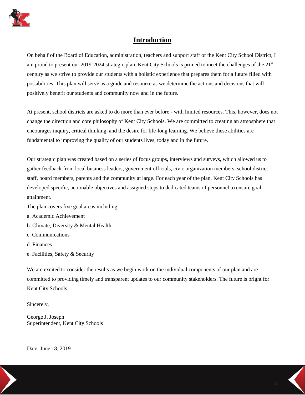

## **Introduction**

On behalf of the Board of Education, administration, teachers and support staff of the Kent City School District, I am proud to present our 2019-2024 strategic plan. Kent City Schools is primed to meet the challenges of the 21<sup>st</sup> century as we strive to provide our students with a holistic experience that prepares them for a future filled with possibilities. This plan will serve as a guide and resource as we determine the actions and decisions that will positively benefit our students and community now and in the future.

At present, school districts are asked to do more than ever before - with limited resources. This, however, does not change the direction and core philosophy of Kent City Schools. We are committed to creating an atmosphere that encourages inquiry, critical thinking, and the desire for life-long learning. We believe these abilities are fundamental to improving the quality of our students lives, today and in the future.

Our strategic plan was created based on a series of focus groups, interviews and surveys, which allowed us to gather feedback from local business leaders, government officials, civic organization members, school district staff, board members, parents and the community at large. For each year of the plan, Kent City Schools has developed specific, actionable objectives and assigned steps to dedicated teams of personnel to ensure goal attainment.

The plan covers five goal areas including:

- a. Academic Achievement
- b. Climate, Diversity & Mental Health
- c. Communications
- d. Finances
- e. Facilities, Safety & Security

We are excited to consider the results as we begin work on the individual components of our plan and are committed to providing timely and transparent updates to our community stakeholders. The future is bright for Kent City Schools.

Sincerely,

George J. Joseph Superintendent, Kent City Schools

Date: June 18, 2019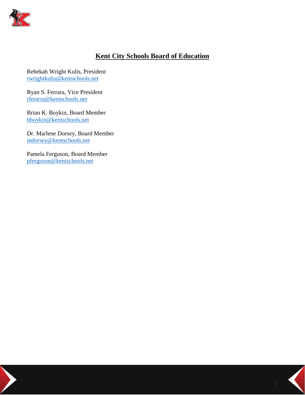

## **Kent City Schools Board of Education**

Rebekah Wright Kulis, President [rwrightkulis@kentschools.net](mailto:rwrightkulis@kentschools.net)

Ryan S. Ferrara, Vice President [rferarra@kentschools.net](mailto:rferarra@kentschools.net)

Brian K. Boykin, Board Member [bboykin@kentschools.net](mailto:bboykin@kentschools.net)

Dr. Marlene Dorsey, Board Member [mdorsey@kentschools.net](mailto:mdorsey@kentschools.net)

Pamela Ferguson, Board Member [pferguson@kentschools.net](mailto:pferguson@kentschools.net)

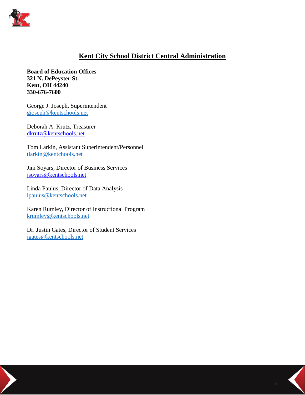

## **Kent City School District Central Administration**

**Board of Education Offices 321 N. DePeyster St. Kent, OH 44240 330-676-7600**

George J. Joseph, Superintendent [gjoseph@kentschools.net](mailto:gjoseph@kentschools.net)

Deborah A. Krutz, Treasurer [dkrutz@kentschools.net](mailto:dkrutz@kentschools.net)

Tom Larkin, Assistant Superintendent/Personnel [tlarkin@kentchools.net](mailto:ke_tlarkin@kentchools.net)

Jim Soyars, Director of Business Services [jsoyars@kentschools.net](mailto:jsoyars@kentschools.net)

Linda Paulus, Director of Data Analysis [lpaulus@kentschools.net](mailto:ke_lpaulus@kentschools.net)

Karen Rumley, Director of Instructional Program [krumley@kentschools.net](mailto:ke_krumley@kentschools.net)

Dr. Justin Gates, Director of Student Services [jgates@kentschools.net](mailto:ke_jgates@kentschools.net)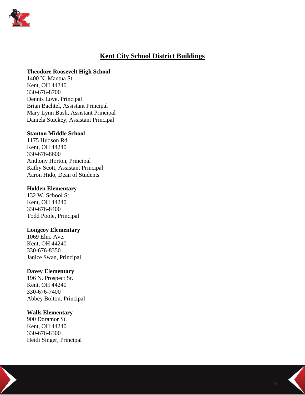

## **Kent City School District Buildings**

#### **Theodore Roosevelt High School**

1400 N. Mantua St. Kent, OH 44240 330-676-8700 Dennis Love, Principal Brian Bachtel, Assistant Principal Mary Lynn Bush, Assistant Principal Daniela Stuckey, Assistant Principal

#### **Stanton Middle School**

1175 Hudson Rd. Kent, OH 44240 330-676-8600 Anthony Horton, Principal Kathy Scott, Assistant Principal Aaron Hido, Dean of Students

#### **Holden Elementary**

132 W. School St. Kent, OH 44240 330-676-8400 Todd Poole, Principal

#### **Longcoy Elementary**

1069 Elno Ave. Kent, OH 44240 330-676-8350 Janice Swan, Principal

#### **Davey Elementary**

196 N. Prospect St. Kent, OH 44240 330-676-7400 Abbey Bolton, Principal

## **Walls Elementary**

900 Doramor St. Kent, OH 44240 330-676-8300 Heidi Singer, Principal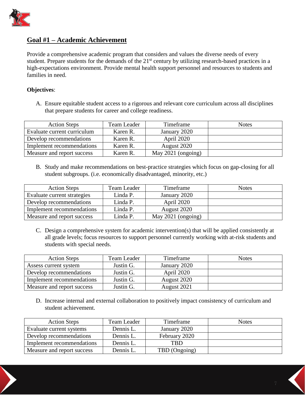

## **Goal #1 – Academic Achievement**

Provide a comprehensive academic program that considers and values the diverse needs of every student. Prepare students for the demands of the 21<sup>st</sup> century by utilizing research-based practices in a high-expectations environment. Provide mental health support personnel and resources to students and families in need.

#### **Objectives**:

A. Ensure equitable student access to a rigorous and relevant core curriculum across all disciplines that prepare students for career and college readiness.

| <b>Action Steps</b>         | Team Leader | Timeframe          | <b>Notes</b> |
|-----------------------------|-------------|--------------------|--------------|
| Evaluate current curriculum | Karen R.    | January 2020       |              |
| Develop recommendations     | Karen R.    | April 2020         |              |
| Implement recommendations   | Karen R.    | August 2020        |              |
| Measure and report success  | Karen R.    | May 2021 (ongoing) |              |

B. Study and make recommendations on best-practice strategies which focus on gap-closing for all student subgroups. (i.e. economically disadvantaged, minority, etc.)

| <b>Action Steps</b>         | Team Leader | Timeframe          | <b>Notes</b> |
|-----------------------------|-------------|--------------------|--------------|
| Evaluate current strategies | Linda P.    | January 2020       |              |
| Develop recommendations     | Linda P.    | April 2020         |              |
| Implement recommendations   | Linda P.    | August 2020        |              |
| Measure and report success  | Linda P.    | May 2021 (ongoing) |              |

C. Design a comprehensive system for academic intervention(s) that will be applied consistently at all grade levels; focus resources to support personnel currently working with at-risk students and students with special needs.

| <b>Action Steps</b>        | Team Leader | Timeframe    | <b>Notes</b> |
|----------------------------|-------------|--------------|--------------|
| Assess current system      | Justin G.   | January 2020 |              |
| Develop recommendations    | Justin G.   | April 2020   |              |
| Implement recommendations  | Justin G.   | August 2020  |              |
| Measure and report success | Justin G.   | August 2021  |              |

D. Increase internal and external collaboration to positively impact consistency of curriculum and student achievement.

| <b>Action Steps</b>        | Team Leader | Timeframe     | <b>Notes</b> |
|----------------------------|-------------|---------------|--------------|
| Evaluate current systems   | Dennis L.   | January 2020  |              |
| Develop recommendations    | Dennis L.   | February 2020 |              |
| Implement recommendations  | Dennis L.   | <b>TBD</b>    |              |
| Measure and report success | Dennis L.   | TBD (Ongoing) |              |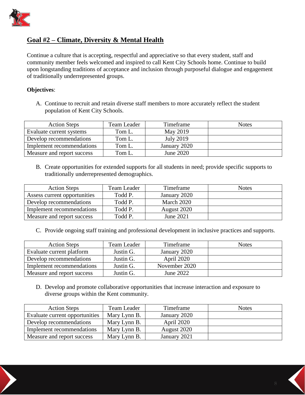

## **Goal #2 – Climate, Diversity & Mental Health**

Continue a culture that is accepting, respectful and appreciative so that every student, staff and community member feels welcomed and inspired to call Kent City Schools home. Continue to build upon longstanding traditions of acceptance and inclusion through purposeful dialogue and engagement of traditionally underrepresented groups.

## **Objectives**:

A. Continue to recruit and retain diverse staff members to more accurately reflect the student population of Kent City Schools.

| <b>Action Steps</b>        | Team Leader | Timeframe        | <b>Notes</b> |
|----------------------------|-------------|------------------|--------------|
| Evaluate current systems   | Tom L.      | May 2019         |              |
| Develop recommendations    | Tom L.      | <b>July 2019</b> |              |
| Implement recommendations  | Tom L.      | January 2020     |              |
| Measure and report success | Tom L.      | June 2020        |              |

B. Create opportunities for extended supports for all students in need; provide specific supports to traditionally underrepresented demographics.

| <b>Action Steps</b>          | Team Leader | Timeframe    | <b>Notes</b> |
|------------------------------|-------------|--------------|--------------|
| Assess current opportunities | Todd P.     | January 2020 |              |
| Develop recommendations      | Todd P.     | March 2020   |              |
| Implement recommendations    | Todd P.     | August 2020  |              |
| Measure and report success   | Todd P.     | June 2021    |              |

C. Provide ongoing staff training and professional development in inclusive practices and supports.

| <b>Action Steps</b>        | Team Leader | Timeframe     | <b>Notes</b> |
|----------------------------|-------------|---------------|--------------|
| Evaluate current platform  | Justin G.   | January 2020  |              |
| Develop recommendations    | Justin G.   | April 2020    |              |
| Implement recommendations  | Justin G.   | November 2020 |              |
| Measure and report success | Justin G.   | June 2022     |              |

D. Develop and promote collaborative opportunities that increase interaction and exposure to diverse groups within the Kent community.

| <b>Action Steps</b>            | Team Leader  | Timeframe    | <b>Notes</b> |
|--------------------------------|--------------|--------------|--------------|
| Evaluate current opportunities | Mary Lynn B. | January 2020 |              |
| Develop recommendations        | Mary Lynn B. | April 2020   |              |
| Implement recommendations      | Mary Lynn B. | August 2020  |              |
| Measure and report success     | Mary Lynn B. | January 2021 |              |

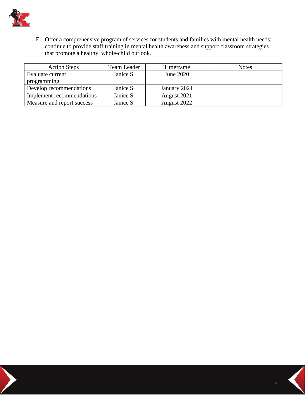

E. Offer a comprehensive program of services for students and families with mental health needs; continue to provide staff training in mental health awareness and support classroom strategies that promote a healthy, whole-child outlook.

| <b>Action Steps</b>        | Team Leader | Timeframe    | <b>Notes</b> |
|----------------------------|-------------|--------------|--------------|
| Evaluate current           | Janice S.   | June 2020    |              |
| programming                |             |              |              |
| Develop recommendations    | Janice S.   | January 2021 |              |
| Implement recommendations  | Janice S.   | August 2021  |              |
| Measure and report success | Janice S.   | August 2022  |              |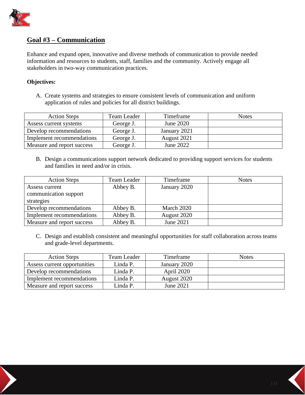

## **Goal #3 – Communication**

Enhance and expand open, innovative and diverse methods of communication to provide needed information and resources to students, staff, families and the community. Actively engage all stakeholders in two-way communication practices.

#### **Objectives:**

A. Create systems and strategies to ensure consistent levels of communication and uniform application of rules and policies for all district buildings.

| <b>Action Steps</b>        | Team Leader | Timeframe    | <b>Notes</b> |
|----------------------------|-------------|--------------|--------------|
| Assess current systems     | George J.   | June 2020    |              |
| Develop recommendations    | George J.   | January 2021 |              |
| Implement recommendations  | George J.   | August 2021  |              |
| Measure and report success | George J.   | June 2022    |              |

B. Design a communications support network dedicated to providing support services for students and families in need and/or in crisis.

| <b>Action Steps</b>        | Team Leader | Timeframe    | <b>Notes</b> |
|----------------------------|-------------|--------------|--------------|
| Assess current             | Abbey B.    | January 2020 |              |
| communication support      |             |              |              |
| strategies                 |             |              |              |
| Develop recommendations    | Abbey B.    | March 2020   |              |
| Implement recommendations  | Abbey B.    | August 2020  |              |
| Measure and report success | Abbey B.    | June 2021    |              |

C. Design and establish consistent and meaningful opportunities for staff collaboration across teams and grade-level departments.

| <b>Action Steps</b>          | Team Leader | Timeframe    | <b>Notes</b> |
|------------------------------|-------------|--------------|--------------|
| Assess current opportunities | Linda P.    | January 2020 |              |
| Develop recommendations      | Linda P.    | April 2020   |              |
| Implement recommendations    | Linda P.    | August 2020  |              |
| Measure and report success   | Linda P.    | June 2021    |              |

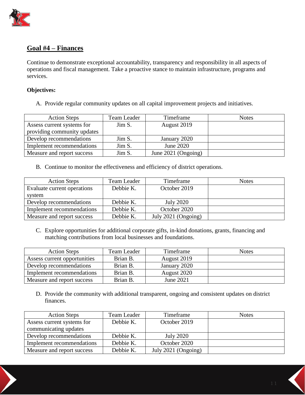

## **Goal #4 – Finances**

Continue to demonstrate exceptional accountability, transparency and responsibility in all aspects of operations and fiscal management. Take a proactive stance to maintain infrastructure, programs and services.

## **Objectives:**

A. Provide regular community updates on all capital improvement projects and initiatives.

| <b>Action Steps</b>         | Team Leader | Timeframe           | <b>Notes</b> |
|-----------------------------|-------------|---------------------|--------------|
| Assess current systems for  | Jim S.      | August 2019         |              |
| providing community updates |             |                     |              |
| Develop recommendations     | Jim S.      | January 2020        |              |
| Implement recommendations   | Jim S.      | June 2020           |              |
| Measure and report success  | Jim S.      | June 2021 (Ongoing) |              |

B. Continue to monitor the effectiveness and efficiency of district operations.

| <b>Action Steps</b>         | Team Leader | Timeframe           | <b>Notes</b> |
|-----------------------------|-------------|---------------------|--------------|
| Evaluate current operations | Debbie K.   | October 2019        |              |
| system                      |             |                     |              |
| Develop recommendations     | Debbie K.   | <b>July 2020</b>    |              |
| Implement recommendations   | Debbie K.   | October 2020        |              |
| Measure and report success  | Debbie K.   | July 2021 (Ongoing) |              |

C. Explore opportunities for additional corporate gifts, in-kind donations, grants, financing and matching contributions from local businesses and foundations.

| <b>Action Steps</b>          | Team Leader | Timeframe    | <b>Notes</b> |
|------------------------------|-------------|--------------|--------------|
| Assess current opportunities | Brian B.    | August 2019  |              |
| Develop recommendations      | Brian B.    | January 2020 |              |
| Implement recommendations    | Brian B.    | August 2020  |              |
| Measure and report success   | Brian B.    | June 2021    |              |

D. Provide the community with additional transparent, ongoing and consistent updates on district finances.

| <b>Action Steps</b>        | Team Leader | Timeframe           | <b>Notes</b> |
|----------------------------|-------------|---------------------|--------------|
| Assess current systems for | Debbie K.   | October 2019        |              |
| communicating updates      |             |                     |              |
| Develop recommendations    | Debbie K.   | <b>July 2020</b>    |              |
| Implement recommendations  | Debbie K.   | October 2020        |              |
| Measure and report success | Debbie K.   | July 2021 (Ongoing) |              |